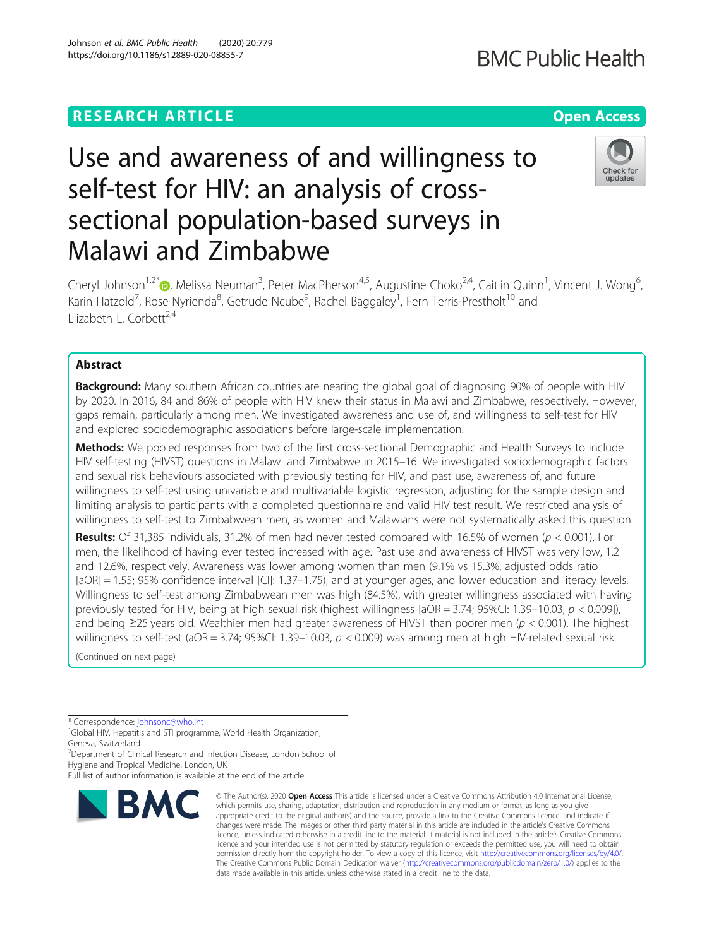## **RESEARCH ARTICLE Example 2014 12:30 The Contract of Contract ACCESS**

# Use and awareness of and willingness to self-test for HIV: an analysis of crosssectional population-based surveys in Malawi and Zimbabwe

Cheryl Johnson<sup>1[,](http://orcid.org/0000-0001-5499-5523)2\*</sup> (@, Melissa Neuman<sup>3</sup>, Peter MacPherson<sup>4,5</sup>, Augustine Choko<sup>2,4</sup>, Caitlin Quinn<sup>1</sup>, Vincent J. Wong<sup>6</sup> , Karin Hatzold<sup>7</sup>, Rose Nyrienda<sup>8</sup>, Getrude Ncube<sup>9</sup>, Rachel Baggaley<sup>1</sup>, Fern Terris-Prestholt<sup>10</sup> and Elizabeth L. Corbett<sup>2,4</sup>

## Abstract

**Background:** Many southern African countries are nearing the global goal of diagnosing 90% of people with HIV by 2020. In 2016, 84 and 86% of people with HIV knew their status in Malawi and Zimbabwe, respectively. However, gaps remain, particularly among men. We investigated awareness and use of, and willingness to self-test for HIV and explored sociodemographic associations before large-scale implementation.

Methods: We pooled responses from two of the first cross-sectional Demographic and Health Surveys to include HIV self-testing (HIVST) questions in Malawi and Zimbabwe in 2015–16. We investigated sociodemographic factors and sexual risk behaviours associated with previously testing for HIV, and past use, awareness of, and future willingness to self-test using univariable and multivariable logistic regression, adjusting for the sample design and limiting analysis to participants with a completed questionnaire and valid HIV test result. We restricted analysis of willingness to self-test to Zimbabwean men, as women and Malawians were not systematically asked this question.

Results: Of 31,385 individuals, 31.2% of men had never tested compared with 16.5% of women ( $p < 0.001$ ). For men, the likelihood of having ever tested increased with age. Past use and awareness of HIVST was very low, 1.2 and 12.6%, respectively. Awareness was lower among women than men (9.1% vs 15.3%, adjusted odds ratio [aOR] = 1.55; 95% confidence interval [CI]: 1.37–1.75), and at younger ages, and lower education and literacy levels. Willingness to self-test among Zimbabwean men was high (84.5%), with greater willingness associated with having previously tested for HIV, being at high sexual risk (highest willingness [aOR = 3.74; 95%CI: 1.39–10.03, p < 0.009]), and being ≥25 years old. Wealthier men had greater awareness of HIVST than poorer men ( $p$  < 0.001). The highest willingness to self-test (aOR = 3.74; 95%Cl: 1.39–10.03,  $p < 0.009$ ) was among men at high HIV-related sexual risk.

(Continued on next page)

\* Correspondence: [johnsonc@who.int](mailto:johnsonc@who.int) <sup>1</sup>

<sup>1</sup>Global HIV, Hepatitis and STI programme, World Health Organization, Geneva, Switzerland

<sup>2</sup> Department of Clinical Research and Infection Disease, London School of Hygiene and Tropical Medicine, London, UK

Full list of author information is available at the end of the article



Check for updates

© The Author(s), 2020 **Open Access** This article is licensed under a Creative Commons Attribution 4.0 International License, which permits use, sharing, adaptation, distribution and reproduction in any medium or format, as long as you give appropriate credit to the original author(s) and the source, provide a link to the Creative Commons licence, and indicate if changes were made. The images or other third party material in this article are included in the article's Creative Commons licence, unless indicated otherwise in a credit line to the material. If material is not included in the article's Creative Commons licence and your intended use is not permitted by statutory regulation or exceeds the permitted use, you will need to obtain permission directly from the copyright holder. To view a copy of this licence, visit [http://creativecommons.org/licenses/by/4.0/.](http://creativecommons.org/licenses/by/4.0/) The Creative Commons Public Domain Dedication waiver [\(http://creativecommons.org/publicdomain/zero/1.0/](http://creativecommons.org/publicdomain/zero/1.0/)) applies to the data made available in this article, unless otherwise stated in a credit line to the data.



**BMC Public Health**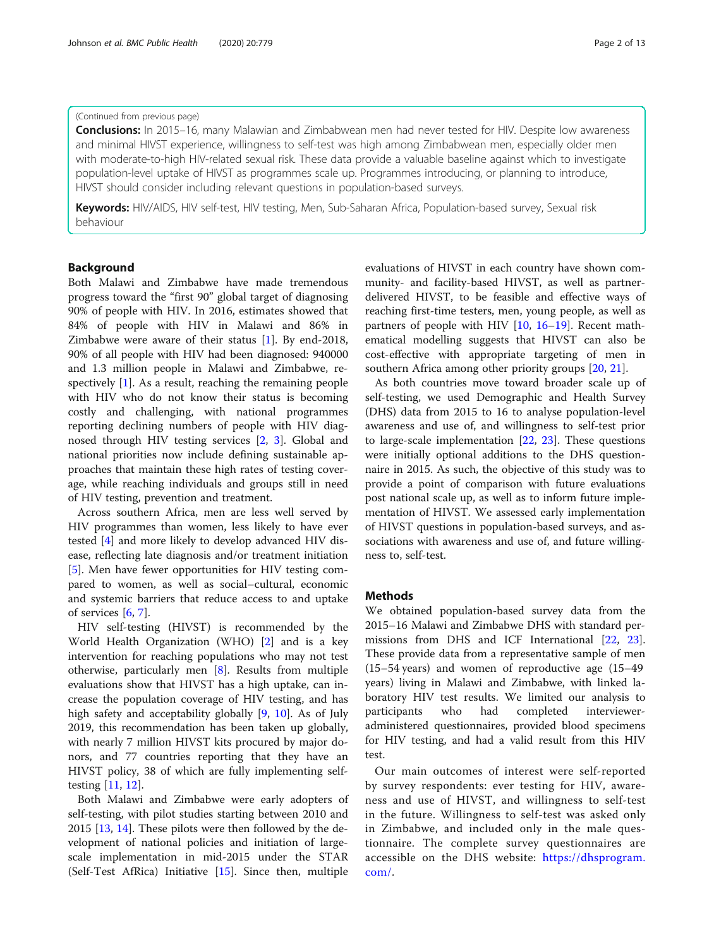## (Continued from previous page)

**Conclusions:** In 2015–16, many Malawian and Zimbabwean men had never tested for HIV. Despite low awareness and minimal HIVST experience, willingness to self-test was high among Zimbabwean men, especially older men with moderate-to-high HIV-related sexual risk. These data provide a valuable baseline against which to investigate population-level uptake of HIVST as programmes scale up. Programmes introducing, or planning to introduce, HIVST should consider including relevant questions in population-based surveys.

Keywords: HIV/AIDS, HIV self-test, HIV testing, Men, Sub-Saharan Africa, Population-based survey, Sexual risk behaviour

## Background

Both Malawi and Zimbabwe have made tremendous progress toward the "first 90" global target of diagnosing 90% of people with HIV. In 2016, estimates showed that 84% of people with HIV in Malawi and 86% in Zimbabwe were aware of their status [\[1](#page-11-0)]. By end-2018, 90% of all people with HIV had been diagnosed: 940000 and 1.3 million people in Malawi and Zimbabwe, respectively [\[1](#page-11-0)]. As a result, reaching the remaining people with HIV who do not know their status is becoming costly and challenging, with national programmes reporting declining numbers of people with HIV diagnosed through HIV testing services [[2,](#page-12-0) [3\]](#page-12-0). Global and national priorities now include defining sustainable approaches that maintain these high rates of testing coverage, while reaching individuals and groups still in need of HIV testing, prevention and treatment.

Across southern Africa, men are less well served by HIV programmes than women, less likely to have ever tested [\[4](#page-12-0)] and more likely to develop advanced HIV disease, reflecting late diagnosis and/or treatment initiation [[5\]](#page-12-0). Men have fewer opportunities for HIV testing compared to women, as well as social–cultural, economic and systemic barriers that reduce access to and uptake of services [\[6](#page-12-0), [7](#page-12-0)].

HIV self-testing (HIVST) is recommended by the World Health Organization (WHO) [[2\]](#page-12-0) and is a key intervention for reaching populations who may not test otherwise, particularly men [[8](#page-12-0)]. Results from multiple evaluations show that HIVST has a high uptake, can increase the population coverage of HIV testing, and has high safety and acceptability globally [\[9](#page-12-0), [10](#page-12-0)]. As of July 2019, this recommendation has been taken up globally, with nearly 7 million HIVST kits procured by major donors, and 77 countries reporting that they have an HIVST policy, 38 of which are fully implementing selftesting [\[11,](#page-12-0) [12\]](#page-12-0).

Both Malawi and Zimbabwe were early adopters of self-testing, with pilot studies starting between 2010 and 2015 [\[13](#page-12-0), [14](#page-12-0)]. These pilots were then followed by the development of national policies and initiation of largescale implementation in mid-2015 under the STAR (Self-Test AfRica) Initiative [\[15](#page-12-0)]. Since then, multiple evaluations of HIVST in each country have shown community- and facility-based HIVST, as well as partnerdelivered HIVST, to be feasible and effective ways of reaching first-time testers, men, young people, as well as partners of people with HIV [[10](#page-12-0), [16](#page-12-0)–[19\]](#page-12-0). Recent mathematical modelling suggests that HIVST can also be cost-effective with appropriate targeting of men in southern Africa among other priority groups [\[20](#page-12-0), [21\]](#page-12-0).

As both countries move toward broader scale up of self-testing, we used Demographic and Health Survey (DHS) data from 2015 to 16 to analyse population-level awareness and use of, and willingness to self-test prior to large-scale implementation [\[22,](#page-12-0) [23\]](#page-12-0). These questions were initially optional additions to the DHS questionnaire in 2015. As such, the objective of this study was to provide a point of comparison with future evaluations post national scale up, as well as to inform future implementation of HIVST. We assessed early implementation of HIVST questions in population-based surveys, and associations with awareness and use of, and future willingness to, self-test.

## Methods

We obtained population-based survey data from the 2015–16 Malawi and Zimbabwe DHS with standard permissions from DHS and ICF International [[22,](#page-12-0) [23](#page-12-0)]. These provide data from a representative sample of men (15–54 years) and women of reproductive age (15–49 years) living in Malawi and Zimbabwe, with linked laboratory HIV test results. We limited our analysis to participants who had completed intervieweradministered questionnaires, provided blood specimens for HIV testing, and had a valid result from this HIV test.

Our main outcomes of interest were self-reported by survey respondents: ever testing for HIV, awareness and use of HIVST, and willingness to self-test in the future. Willingness to self-test was asked only in Zimbabwe, and included only in the male questionnaire. The complete survey questionnaires are accessible on the DHS website: [https://dhsprogram.](https://dhsprogram.com/) [com/](https://dhsprogram.com/).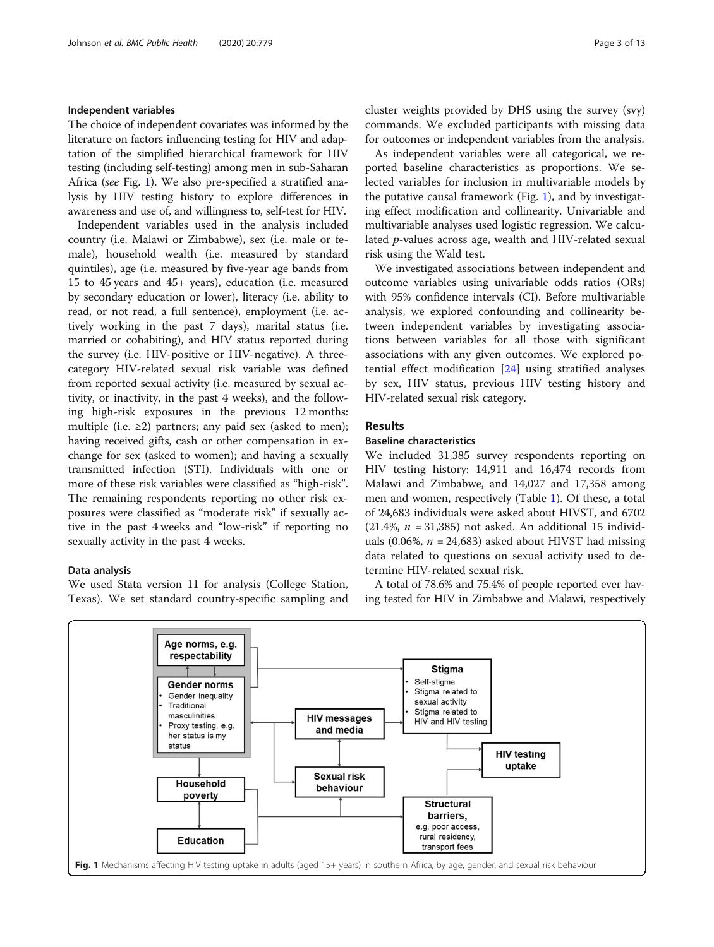#### Independent variables

The choice of independent covariates was informed by the literature on factors influencing testing for HIV and adaptation of the simplified hierarchical framework for HIV testing (including self-testing) among men in sub-Saharan Africa (see Fig. 1). We also pre-specified a stratified analysis by HIV testing history to explore differences in awareness and use of, and willingness to, self-test for HIV.

Independent variables used in the analysis included country (i.e. Malawi or Zimbabwe), sex (i.e. male or female), household wealth (i.e. measured by standard quintiles), age (i.e. measured by five-year age bands from 15 to 45 years and 45+ years), education (i.e. measured by secondary education or lower), literacy (i.e. ability to read, or not read, a full sentence), employment (i.e. actively working in the past 7 days), marital status (i.e. married or cohabiting), and HIV status reported during the survey (i.e. HIV-positive or HIV-negative). A threecategory HIV-related sexual risk variable was defined from reported sexual activity (i.e. measured by sexual activity, or inactivity, in the past 4 weeks), and the following high-risk exposures in the previous 12 months: multiple (i.e.  $\geq$ 2) partners; any paid sex (asked to men); having received gifts, cash or other compensation in exchange for sex (asked to women); and having a sexually transmitted infection (STI). Individuals with one or more of these risk variables were classified as "high-risk". The remaining respondents reporting no other risk exposures were classified as "moderate risk" if sexually active in the past 4 weeks and "low-risk" if reporting no sexually activity in the past 4 weeks.

## Data analysis

We used Stata version 11 for analysis (College Station, Texas). We set standard country-specific sampling and cluster weights provided by DHS using the survey (svy) commands. We excluded participants with missing data for outcomes or independent variables from the analysis.

As independent variables were all categorical, we reported baseline characteristics as proportions. We selected variables for inclusion in multivariable models by the putative causal framework (Fig. 1), and by investigating effect modification and collinearity. Univariable and multivariable analyses used logistic regression. We calculated p-values across age, wealth and HIV-related sexual risk using the Wald test.

We investigated associations between independent and outcome variables using univariable odds ratios (ORs) with 95% confidence intervals (CI). Before multivariable analysis, we explored confounding and collinearity between independent variables by investigating associations between variables for all those with significant associations with any given outcomes. We explored potential effect modification [\[24\]](#page-12-0) using stratified analyses by sex, HIV status, previous HIV testing history and HIV-related sexual risk category.

## Results

## Baseline characteristics

We included 31,385 survey respondents reporting on HIV testing history: 14,911 and 16,474 records from Malawi and Zimbabwe, and 14,027 and 17,358 among men and women, respectively (Table [1](#page-3-0)). Of these, a total of 24,683 individuals were asked about HIVST, and 6702  $(21.4\%, n = 31,385)$  not asked. An additional 15 individuals (0.06%,  $n = 24,683$ ) asked about HIVST had missing data related to questions on sexual activity used to determine HIV-related sexual risk.

A total of 78.6% and 75.4% of people reported ever having tested for HIV in Zimbabwe and Malawi, respectively

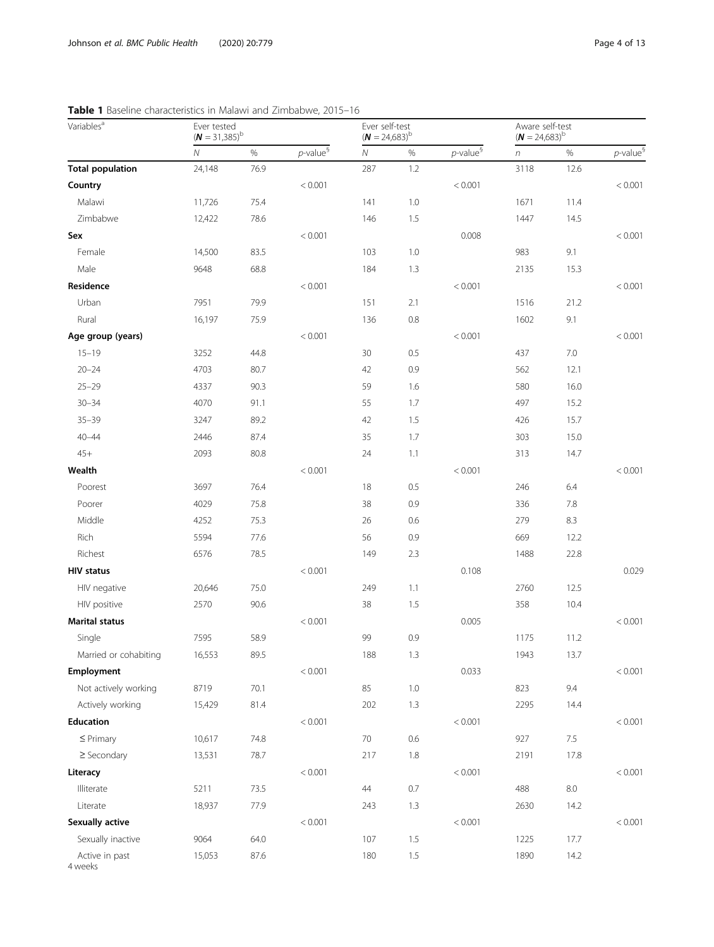| Variables <sup>a</sup>    | Ever tested<br>$(N = 31,385)^{b}$ |      |                           | Ever self-test<br>$(N = 24,683)^{b}$ |         |                         | Aware self-test<br>$(N = 24,683)^{b}$ |         |                         |
|---------------------------|-----------------------------------|------|---------------------------|--------------------------------------|---------|-------------------------|---------------------------------------|---------|-------------------------|
|                           | Ν                                 | $\%$ | $p$ -value $\overline{S}$ | ${\cal N}$                           | $\%$    | $p$ -value <sup>§</sup> | $\eta$                                | $\%$    | $p$ -value <sup>§</sup> |
| <b>Total population</b>   | 24,148                            | 76.9 |                           | 287                                  | 1.2     |                         | 3118                                  | 12.6    |                         |
| Country                   |                                   |      | < 0.001                   |                                      |         | < 0.001                 |                                       |         | < 0.001                 |
| Malawi                    | 11,726                            | 75.4 |                           | 141                                  | 1.0     |                         | 1671                                  | 11.4    |                         |
| Zimbabwe                  | 12,422                            | 78.6 |                           | 146                                  | 1.5     |                         | 1447                                  | 14.5    |                         |
| Sex                       |                                   |      | < 0.001                   |                                      |         | 0.008                   |                                       |         | < 0.001                 |
| Female                    | 14,500                            | 83.5 |                           | 103                                  | 1.0     |                         | 983                                   | 9.1     |                         |
| Male                      | 9648                              | 68.8 |                           | 184                                  | 1.3     |                         | 2135                                  | 15.3    |                         |
| Residence                 |                                   |      | < 0.001                   |                                      |         | < 0.001                 |                                       |         | < 0.001                 |
| Urban                     | 7951                              | 79.9 |                           | 151                                  | 2.1     |                         | 1516                                  | 21.2    |                         |
| Rural                     | 16,197                            | 75.9 |                           | 136                                  | $0.8\,$ |                         | 1602                                  | 9.1     |                         |
| Age group (years)         |                                   |      | < 0.001                   |                                      |         | < 0.001                 |                                       |         | < 0.001                 |
| $15 - 19$                 | 3252                              | 44.8 |                           | 30                                   | 0.5     |                         | 437                                   | 7.0     |                         |
| $20 - 24$                 | 4703                              | 80.7 |                           | 42                                   | 0.9     |                         | 562                                   | 12.1    |                         |
| $25 - 29$                 | 4337                              | 90.3 |                           | 59                                   | 1.6     |                         | 580                                   | 16.0    |                         |
| $30 - 34$                 | 4070                              | 91.1 |                           | 55                                   | 1.7     |                         | 497                                   | 15.2    |                         |
| $35 - 39$                 | 3247                              | 89.2 |                           | 42                                   | 1.5     |                         | 426                                   | 15.7    |                         |
| $40 - 44$                 | 2446                              | 87.4 |                           | 35                                   | 1.7     |                         | 303                                   | 15.0    |                         |
| $45+$                     | 2093                              | 80.8 |                           | 24                                   | 1.1     |                         | 313                                   | 14.7    |                         |
| Wealth                    |                                   |      | < 0.001                   |                                      |         | < 0.001                 |                                       |         | < 0.001                 |
| Poorest                   | 3697                              | 76.4 |                           | 18                                   | 0.5     |                         | 246                                   | $6.4\,$ |                         |
| Poorer                    | 4029                              | 75.8 |                           | 38                                   | 0.9     |                         | 336                                   | $7.8\,$ |                         |
| Middle                    | 4252                              | 75.3 |                           | 26                                   | 0.6     |                         | 279                                   | 8.3     |                         |
| Rich                      | 5594                              | 77.6 |                           | 56                                   | 0.9     |                         | 669                                   | 12.2    |                         |
| Richest                   | 6576                              | 78.5 |                           | 149                                  | 2.3     |                         | 1488                                  | 22.8    |                         |
| <b>HIV status</b>         |                                   |      | < 0.001                   |                                      |         | 0.108                   |                                       |         | 0.029                   |
| HIV negative              | 20,646                            | 75.0 |                           | 249                                  | 1.1     |                         | 2760                                  | 12.5    |                         |
| HIV positive              | 2570                              | 90.6 |                           | 38                                   | 1.5     |                         | 358                                   | 10.4    |                         |
| <b>Marital status</b>     |                                   |      | < 0.001                   |                                      |         | 0.005                   |                                       |         | < 0.001                 |
| Single                    | 7595                              | 58.9 |                           | 99                                   | 0.9     |                         | 1175                                  | 11.2    |                         |
| Married or cohabiting     | 16,553                            | 89.5 |                           | 188                                  | 1.3     |                         | 1943                                  | 13.7    |                         |
| Employment                |                                   |      | < 0.001                   |                                      |         | 0.033                   |                                       |         | < 0.001                 |
| Not actively working      | 8719                              | 70.1 |                           | 85                                   | $1.0$   |                         | 823                                   | 9.4     |                         |
| Actively working          | 15,429                            | 81.4 |                           | 202                                  | 1.3     |                         | 2295                                  | 14.4    |                         |
| Education                 |                                   |      | < 0.001                   |                                      |         | < 0.001                 |                                       |         | < 0.001                 |
| $\leq$ Primary            | 10,617                            | 74.8 |                           | 70                                   | 0.6     |                         | 927                                   | $7.5\,$ |                         |
| $\geq$ Secondary          | 13,531                            | 78.7 |                           | 217                                  | 1.8     |                         | 2191                                  | 17.8    |                         |
| Literacy                  |                                   |      | < 0.001                   |                                      |         | < 0.001                 |                                       |         | < 0.001                 |
| Illiterate                | 5211                              | 73.5 |                           | 44                                   | $0.7\,$ |                         | 488                                   | $8.0\,$ |                         |
| Literate                  | 18,937                            | 77.9 |                           | 243                                  | 1.3     |                         | 2630                                  | 14.2    |                         |
| <b>Sexually active</b>    |                                   |      | < 0.001                   |                                      |         | < 0.001                 |                                       |         | < 0.001                 |
| Sexually inactive         | 9064                              | 64.0 |                           | 107                                  | 1.5     |                         | 1225                                  | 17.7    |                         |
| Active in past<br>4 weeks | 15,053                            | 87.6 |                           | 180                                  | 1.5     |                         | 1890                                  | 14.2    |                         |

<span id="page-3-0"></span>Table 1 Baseline characteristics in Malawi and Zimbabwe, 2015-16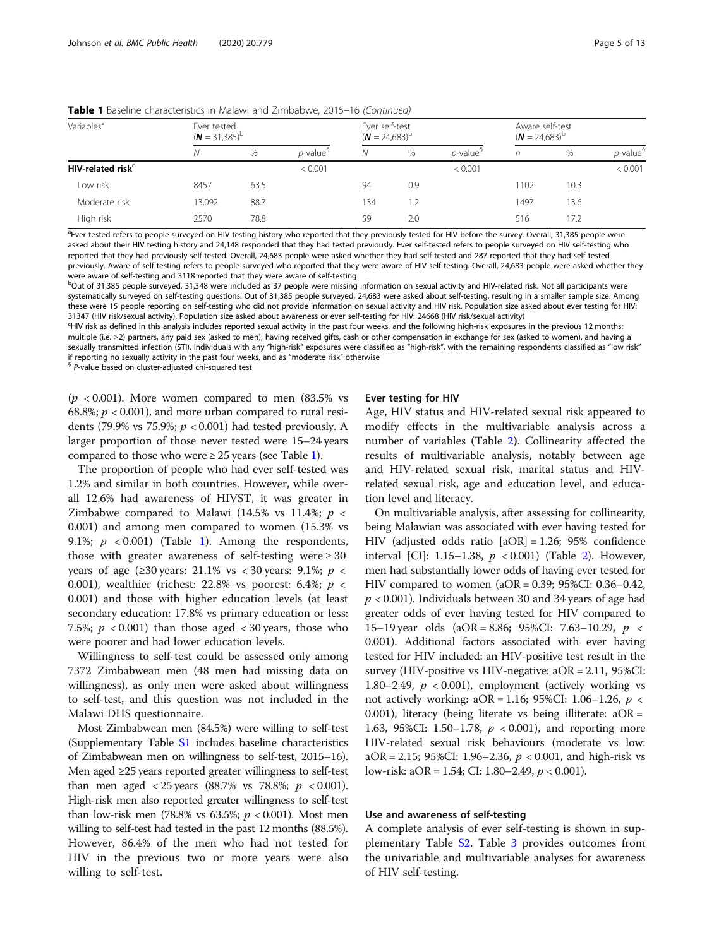| Variables <sup>a</sup>  |       | Ever tested<br>$(N = 31,385)^{b}$ |                      |     | Ever self-test<br>$(N = 24,683)^{b}$ |                      |      | Aware self-test<br>$(N = 24,683)^{b}$ |                              |  |
|-------------------------|-------|-----------------------------------|----------------------|-----|--------------------------------------|----------------------|------|---------------------------------------|------------------------------|--|
|                         | Ν     | %                                 | $p$ -value $\degree$ | N   | %                                    | $p$ -value $\degree$ | n    | %                                     | <i>p</i> -value <sup>§</sup> |  |
| $HIV$ -related risk $c$ |       |                                   | < 0.001              |     |                                      | < 0.001              |      |                                       | < 0.001                      |  |
| Low risk                | 8457  | 63.5                              |                      | 94  | 0.9                                  |                      | 1102 | 10.3                                  |                              |  |
| Moderate risk           | 3.092 | 88.7                              |                      | 134 | 1.2                                  |                      | 1497 | 13.6                                  |                              |  |
| High risk               | 2570  | 78.8                              |                      | 59  | 2.0                                  |                      | 516  | 17.2                                  |                              |  |

Table 1 Baseline characteristics in Malawi and Zimbabwe, 2015–16 (Continued)

<sup>a</sup>Ever tested refers to people surveyed on HIV testing history who reported that they previously tested for HIV before the survey. Overall, 31,385 people were asked about their HIV testing history and 24,148 responded that they had tested previously. Ever self-tested refers to people surveyed on HIV self-testing who reported that they had previously self-tested. Overall, 24,683 people were asked whether they had self-tested and 287 reported that they had self-tested previously. Aware of self-testing refers to people surveyed who reported that they were aware of HIV self-testing. Overall, 24,683 people were asked whether they were aware of self-testing and 3118 reported that they were aware of self-testing

b<br><sup>b</sup>Out of 31,385 people surveyed, 31,348 were included as 37 people were missing information on sexual activity and HIV-related risk. Not all participants were systematically surveyed on self-testing questions. Out of 31,385 people surveyed, 24,683 were asked about self-testing, resulting in a smaller sample size. Among these were 15 people reporting on self-testing who did not provide information on sexual activity and HIV risk. Population size asked about ever testing for HIV: 31347 (HIV risk/sexual activity). Population size asked about awareness or ever self-testing for HIV: 24668 (HIV risk/sexual activity)

c HIV risk as defined in this analysis includes reported sexual activity in the past four weeks, and the following high-risk exposures in the previous 12 months: multiple (i.e. ≥2) partners, any paid sex (asked to men), having received gifts, cash or other compensation in exchange for sex (asked to women), and having a sexually transmitted infection (STI). Individuals with any "high-risk" exposures were classified as "high-risk", with the remaining respondents classified as "low risk" if reporting no sexually activity in the past four weeks, and as "moderate risk" otherwise §  $P-$ value based on cluster-adjusted chi-squared test

( $p < 0.001$ ). More women compared to men (83.5% vs 68.8%;  $p < 0.001$ ), and more urban compared to rural residents (79.9% vs 75.9%;  $p < 0.001$ ) had tested previously. A larger proportion of those never tested were 15–24 years compared to those who were  $\geq$  25 years (see Table [1](#page-3-0)).

The proportion of people who had ever self-tested was 1.2% and similar in both countries. However, while overall 12.6% had awareness of HIVST, it was greater in Zimbabwe compared to Malawi (14.5% vs 11.4%;  $p \lt \theta$ 0.001) and among men compared to women (15.3% vs 9.[1](#page-3-0)%;  $p \leq 0.001$ ) (Table 1). Among the respondents, those with greater awareness of self-testing were  $\geq 30$ years of age  $(\geq 30 \text{ years}$ : 21.1% vs < 30 years: 9.1%; p < 0.001), wealthier (richest: 22.8% vs poorest: 6.4%;  $p \lt \theta$ 0.001) and those with higher education levels (at least secondary education: 17.8% vs primary education or less: 7.5%;  $p < 0.001$ ) than those aged  $< 30$  years, those who were poorer and had lower education levels.

Willingness to self-test could be assessed only among 7372 Zimbabwean men (48 men had missing data on willingness), as only men were asked about willingness to self-test, and this question was not included in the Malawi DHS questionnaire.

Most Zimbabwean men (84.5%) were willing to self-test (Supplementary Table [S1](#page-11-0) includes baseline characteristics of Zimbabwean men on willingness to self-test, 2015–16). Men aged ≥25 years reported greater willingness to self-test than men aged < 25 years (88.7% vs 78.8%;  $p \le 0.001$ ). High-risk men also reported greater willingness to self-test than low-risk men (78.8% vs 63.5%;  $p < 0.001$ ). Most men willing to self-test had tested in the past 12 months (88.5%). However, 86.4% of the men who had not tested for HIV in the previous two or more years were also willing to self-test.

#### Ever testing for HIV

Age, HIV status and HIV-related sexual risk appeared to modify effects in the multivariable analysis across a number of variables (Table [2](#page-5-0)). Collinearity affected the results of multivariable analysis, notably between age and HIV-related sexual risk, marital status and HIVrelated sexual risk, age and education level, and education level and literacy.

On multivariable analysis, after assessing for collinearity, being Malawian was associated with ever having tested for HIV (adjusted odds ratio [aOR] = 1.26; 95% confidence interval [CI]: 1.15–1.38,  $p < 0.001$ ) (Table [2](#page-5-0)). However, men had substantially lower odds of having ever tested for HIV compared to women (aOR = 0.39; 95%CI: 0.36–0.42,  $p < 0.001$ ). Individuals between 30 and 34 years of age had greater odds of ever having tested for HIV compared to 15–19 year olds (aOR = 8.86; 95%CI: 7.63–10.29, p < 0.001). Additional factors associated with ever having tested for HIV included: an HIV-positive test result in the survey (HIV-positive vs HIV-negative: aOR = 2.11, 95%CI: 1.80–2.49,  $p < 0.001$ ), employment (actively working vs not actively working:  $aOR = 1.16$ ; 95%CI: 1.06-1.26,  $p <$ 0.001), literacy (being literate vs being illiterate:  $aOR =$ 1.63, 95%CI: 1.50–1.78,  $p < 0.001$ ), and reporting more HIV-related sexual risk behaviours (moderate vs low: aOR = 2.15; 95%CI: 1.96–2.36,  $p < 0.001$ , and high-risk vs low-risk:  $aOR = 1.54$ ; CI: 1.80–2.49,  $p < 0.001$ ).

## Use and awareness of self-testing

A complete analysis of ever self-testing is shown in supplementary Table [S2](#page-11-0). Table [3](#page-7-0) provides outcomes from the univariable and multivariable analyses for awareness of HIV self-testing.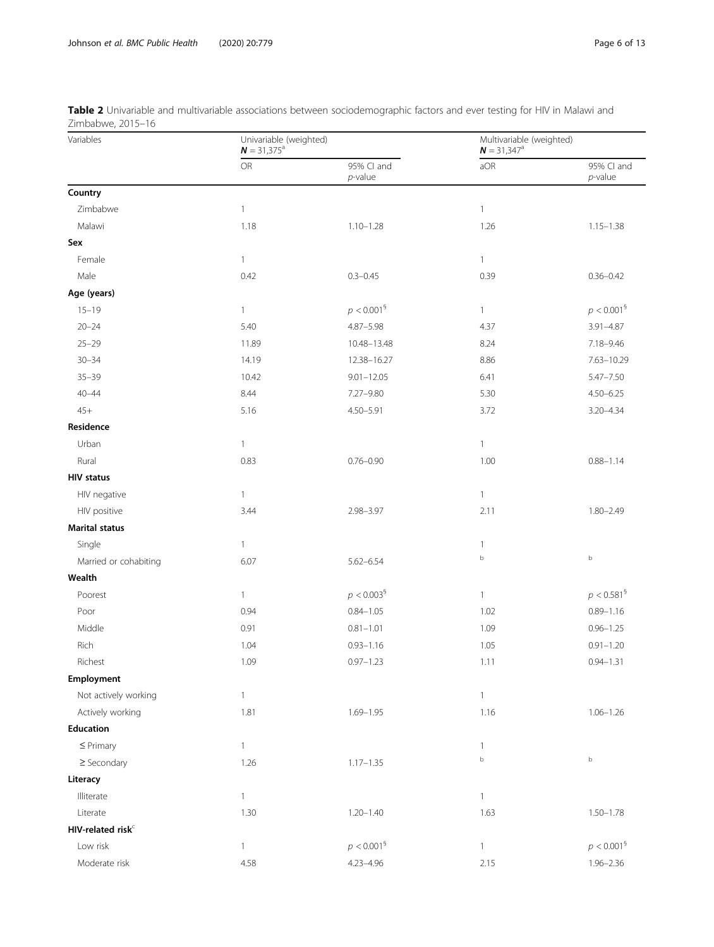| Variables                     | Univariable (weighted)<br>$N = 31,375^a$ |                           | Multivariable (weighted)<br>$N = 31,347^a$ |                           |  |  |
|-------------------------------|------------------------------------------|---------------------------|--------------------------------------------|---------------------------|--|--|
|                               | OR                                       | 95% CI and<br>$p$ -value  | aOR                                        | 95% CI and<br>$p$ -value  |  |  |
| Country                       |                                          |                           |                                            |                           |  |  |
| Zimbabwe                      | $\mathbf{1}$                             |                           | $\mathbf{1}$                               |                           |  |  |
| Malawi                        | 1.18                                     | $1.10 - 1.28$             | 1.26                                       | $1.15 - 1.38$             |  |  |
| Sex                           |                                          |                           |                                            |                           |  |  |
| Female                        | $\mathbf{1}$                             |                           | $\mathbf{1}$                               |                           |  |  |
| Male                          | 0.42                                     | $0.3 - 0.45$              | 0.39                                       | $0.36 - 0.42$             |  |  |
| Age (years)                   |                                          |                           |                                            |                           |  |  |
| $15 - 19$                     | $\mathbf{1}$                             | $p < 0.001^{\frac{6}{5}}$ | $\mathbf{1}$                               | $p < 0.001^{\frac{6}{5}}$ |  |  |
| $20 - 24$                     | 5.40                                     | $4.87 - 5.98$             | 4.37                                       | $3.91 - 4.87$             |  |  |
| $25 - 29$                     | 11.89                                    | 10.48-13.48               | 8.24                                       | 7.18-9.46                 |  |  |
| $30 - 34$                     | 14.19                                    | 12.38-16.27               | 8.86                                       | 7.63-10.29                |  |  |
| $35 - 39$                     | 10.42                                    | $9.01 - 12.05$            | 6.41                                       | $5.47 - 7.50$             |  |  |
| $40 - 44$                     | 8.44                                     | 7.27-9.80                 | 5.30                                       | $4.50 - 6.25$             |  |  |
| $45+$                         | 5.16                                     | 4.50-5.91                 | 3.72                                       | $3.20 - 4.34$             |  |  |
| Residence                     |                                          |                           |                                            |                           |  |  |
| Urban                         | $\mathbf{1}$                             |                           | $\mathbb{1}$                               |                           |  |  |
| Rural                         | 0.83                                     | $0.76 - 0.90$             | 1.00                                       | $0.88 - 1.14$             |  |  |
| <b>HIV status</b>             |                                          |                           |                                            |                           |  |  |
| HIV negative                  | $\mathbf{1}$                             |                           | $\mathbb{1}$                               |                           |  |  |
| HIV positive                  | 3.44                                     | $2.98 - 3.97$             | 2.11                                       | $1.80 - 2.49$             |  |  |
| <b>Marital status</b>         |                                          |                           |                                            |                           |  |  |
| Single                        | 1                                        |                           | $\mathbf{1}$                               |                           |  |  |
| Married or cohabiting         | 6.07                                     | $5.62 - 6.54$             | $\sf b$                                    | $\sf b$                   |  |  |
| Wealth                        |                                          |                           |                                            |                           |  |  |
| Poorest                       | $\mathbf{1}$                             | $p < 0.003^{\frac{6}{3}}$ | $\mathbb{1}$                               | $p < 0.581^{\frac{6}{5}}$ |  |  |
| Poor                          | 0.94                                     | $0.84 - 1.05$             | 1.02                                       | $0.89 - 1.16$             |  |  |
| Middle                        | 0.91                                     | $0.81 - 1.01$             | 1.09                                       | $0.96 - 1.25$             |  |  |
| Rich                          | 1.04                                     | $0.93 - 1.16$             | 1.05                                       | $0.91 - 1.20$             |  |  |
| Richest                       | 1.09                                     | $0.97 - 1.23$             | 1.11                                       | $0.94 - 1.31$             |  |  |
| Employment                    |                                          |                           |                                            |                           |  |  |
| Not actively working          | $\mathbf{1}$                             |                           | $\mathbf{1}$                               |                           |  |  |
| Actively working              | 1.81                                     | $1.69 - 1.95$             | 1.16                                       | $1.06 - 1.26$             |  |  |
| Education                     |                                          |                           |                                            |                           |  |  |
| $\leq$ Primary                | $\mathbf{1}$                             |                           | $\mathbf{1}$                               |                           |  |  |
| $\geq$ Secondary              | 1.26                                     | $1.17 - 1.35$             | $\sf b$                                    | $\sf b$                   |  |  |
| Literacy                      |                                          |                           |                                            |                           |  |  |
| Illiterate                    | $\mathbf{1}$                             |                           | $\mathbf{1}$                               |                           |  |  |
| Literate                      | 1.30                                     | $1.20 - 1.40$             | 1.63                                       | $1.50 - 1.78$             |  |  |
| HIV-related risk <sup>c</sup> |                                          |                           |                                            |                           |  |  |
| Low risk                      | $\mathbf{1}$                             | $p < 0.001^{\frac{6}{3}}$ | $\mathbf{1}$                               | $p < 0.001^{\frac{6}{3}}$ |  |  |
| Moderate risk                 | 4.58                                     | 4.23-4.96                 | 2.15                                       | $1.96 - 2.36$             |  |  |

<span id="page-5-0"></span>

| Table 2 Univariable and multivariable associations between sociodemographic factors and ever testing for HIV in Malawi and |  |  |  |  |  |
|----------------------------------------------------------------------------------------------------------------------------|--|--|--|--|--|
| Zimbabwe, 2015–16                                                                                                          |  |  |  |  |  |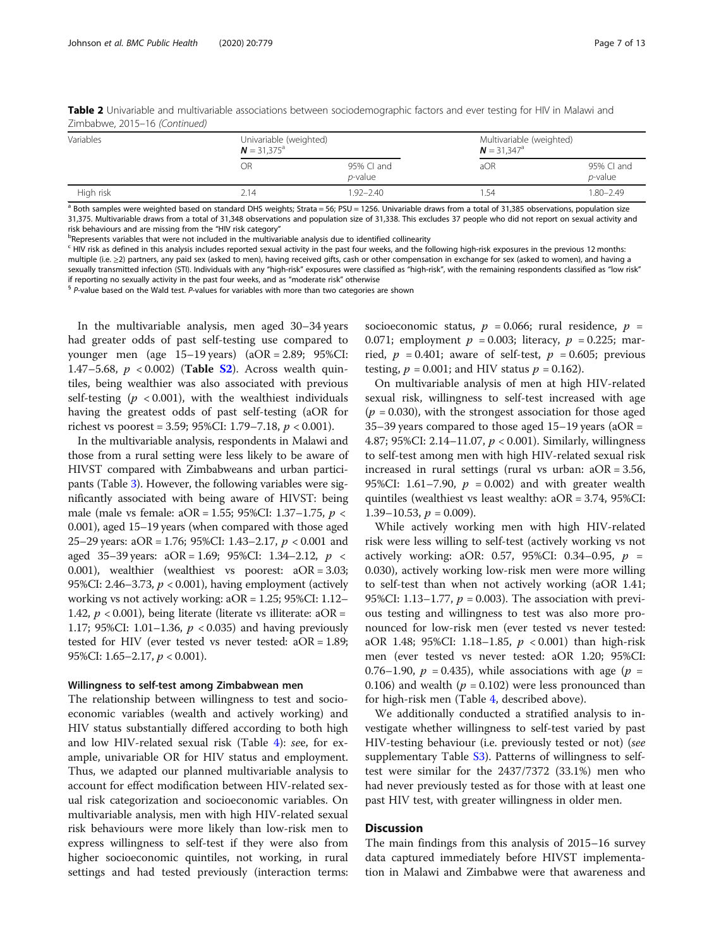| Variables | Univariable (weighted)<br>$N = 31,375^a$ |                          | Multivariable (weighted)<br>$N = 31,347^a$ |                          |  |  |  |  |  |
|-----------|------------------------------------------|--------------------------|--------------------------------------------|--------------------------|--|--|--|--|--|
|           | OR                                       | 95% CI and<br>$p$ -value | aOR                                        | 95% CI and<br>$p$ -value |  |  |  |  |  |
| High risk | 2.14                                     | 1.92-2.40                | 1.54                                       | $1.80 - 2.49$            |  |  |  |  |  |

Table 2 Univariable and multivariable associations between sociodemographic factors and ever testing for HIV in Malawi and Zimbabwe, 2015–16 (Continued)

<sup>a</sup> Both samples were weighted based on standard DHS weights; Strata = 56; PSU = 1256. Univariable draws from a total of 31,385 observations, population size 31,375. Multivariable draws from a total of 31,348 observations and population size of 31,338. This excludes 37 people who did not report on sexual activity and risk behaviours and are missing from the "HIV risk category'

**PRepresents variables that were not included in the multivariable analysis due to identified collinearity** 

<sup>c</sup> HIV risk as defined in this analysis includes reported sexual activity in the past four weeks, and the following high-risk exposures in the previous 12 months: multiple (i.e. ≥2) partners, any paid sex (asked to men), having received gifts, cash or other compensation in exchange for sex (asked to women), and having a sexually transmitted infection (STI). Individuals with any "high-risk" exposures were classified as "high-risk", with the remaining respondents classified as "low risk" if reporting no sexually activity in the past four weeks, and as "moderate risk" otherwise § P-value based on the Wald test. P-values for variables with more than two categories are shown

In the multivariable analysis, men aged 30–34 years had greater odds of past self-testing use compared to younger men (age 15–19 years) (aOR = 2.89; 95%CI: 1.47–5.68,  $p < 0.002$  (Table [S2](#page-11-0)). Across wealth quintiles, being wealthier was also associated with previous self-testing ( $p < 0.001$ ), with the wealthiest individuals having the greatest odds of past self-testing (aOR for richest vs poorest = 3.59; 95%CI: 1.79–7.18,  $p < 0.001$ ).

In the multivariable analysis, respondents in Malawi and those from a rural setting were less likely to be aware of HIVST compared with Zimbabweans and urban participants (Table [3](#page-7-0)). However, the following variables were significantly associated with being aware of HIVST: being male (male vs female:  $aOR = 1.55$ ; 95%CI: 1.37-1.75,  $p \lt \text{ }$ 0.001), aged 15–19 years (when compared with those aged 25–29 years: aOR = 1.76; 95%CI: 1.43–2.17, p < 0.001 and aged 35–39 years:  $aOR = 1.69$ ; 95%CI: 1.34–2.12,  $p \le$ 0.001), wealthier (wealthiest vs poorest: aOR = 3.03; 95%CI: 2.46–3.73,  $p < 0.001$ ), having employment (actively working vs not actively working: aOR = 1.25; 95%CI: 1.12– 1.42,  $p < 0.001$ ), being literate (literate vs illiterate: aOR = 1.17; 95%CI: 1.01–1.36,  $p < 0.035$ ) and having previously tested for HIV (ever tested vs never tested:  $aOR = 1.89$ ; 95%CI: 1.65–2.17,  $p < 0.001$ ).

#### Willingness to self-test among Zimbabwean men

The relationship between willingness to test and socioeconomic variables (wealth and actively working) and HIV status substantially differed according to both high and low HIV-related sexual risk (Table [4](#page-9-0)): see, for example, univariable OR for HIV status and employment. Thus, we adapted our planned multivariable analysis to account for effect modification between HIV-related sexual risk categorization and socioeconomic variables. On multivariable analysis, men with high HIV-related sexual risk behaviours were more likely than low-risk men to express willingness to self-test if they were also from higher socioeconomic quintiles, not working, in rural settings and had tested previously (interaction terms:

socioeconomic status,  $p = 0.066$ ; rural residence,  $p =$ 0.071; employment  $p = 0.003$ ; literacy,  $p = 0.225$ ; married,  $p = 0.401$ ; aware of self-test,  $p = 0.605$ ; previous testing,  $p = 0.001$ ; and HIV status  $p = 0.162$ ).

On multivariable analysis of men at high HIV-related sexual risk, willingness to self-test increased with age  $(p = 0.030)$ , with the strongest association for those aged 35–39 years compared to those aged  $15-19$  years (aOR = 4.87; 95%CI: 2.14–11.07,  $p < 0.001$ ). Similarly, willingness to self-test among men with high HIV-related sexual risk increased in rural settings (rural vs urban:  $aOR = 3.56$ , 95%CI: 1.61-7.90,  $p = 0.002$ ) and with greater wealth quintiles (wealthiest vs least wealthy: aOR = 3.74, 95%CI: 1.39–10.53,  $p = 0.009$ ).

While actively working men with high HIV-related risk were less willing to self-test (actively working vs not actively working: aOR: 0.57, 95%CI: 0.34-0.95,  $p =$ 0.030), actively working low-risk men were more willing to self-test than when not actively working (aOR 1.41; 95%CI: 1.13–1.77,  $p = 0.003$ ). The association with previous testing and willingness to test was also more pronounced for low-risk men (ever tested vs never tested: aOR 1.48; 95%CI: 1.18-1.85,  $p < 0.001$ ) than high-risk men (ever tested vs never tested: aOR 1.20; 95%CI: 0.76–1.90,  $p = 0.435$ , while associations with age ( $p =$ 0.106) and wealth ( $p = 0.102$ ) were less pronounced than for high-risk men (Table [4,](#page-9-0) described above).

We additionally conducted a stratified analysis to investigate whether willingness to self-test varied by past HIV-testing behaviour (i.e. previously tested or not) (see supplementary Table [S3\)](#page-11-0). Patterns of willingness to selftest were similar for the 2437/7372 (33.1%) men who had never previously tested as for those with at least one past HIV test, with greater willingness in older men.

## Discussion

The main findings from this analysis of 2015–16 survey data captured immediately before HIVST implementation in Malawi and Zimbabwe were that awareness and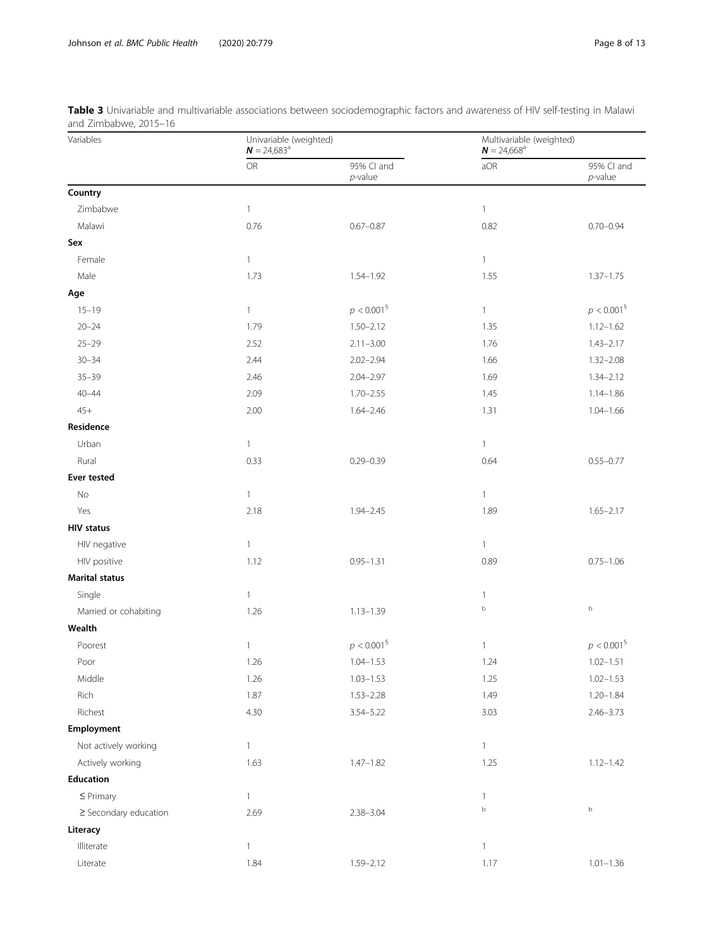| Variables                  | Univariable (weighted)<br>$N = 24,683^{\circ}$ |                           | Multivariable (weighted)<br>$N = 24,668^a$ |                           |  |  |
|----------------------------|------------------------------------------------|---------------------------|--------------------------------------------|---------------------------|--|--|
|                            | ${\sf OR}$                                     | 95% Cl and<br>$p$ -value  | aOR                                        | 95% CI and<br>$p$ -value  |  |  |
| Country                    |                                                |                           |                                            |                           |  |  |
| Zimbabwe                   | $\mathbf{1}$                                   |                           | $\mathbf{1}$                               |                           |  |  |
| Malawi                     | 0.76                                           | $0.67 - 0.87$             | 0.82                                       | $0.70 - 0.94$             |  |  |
| Sex                        |                                                |                           |                                            |                           |  |  |
| Female                     | $\mathbf{1}$                                   |                           | $\mathbf{1}$                               |                           |  |  |
| Male                       | 1.73                                           | $1.54 - 1.92$             | 1.55                                       | $1.37 - 1.75$             |  |  |
| Age                        |                                                |                           |                                            |                           |  |  |
| $15 - 19$                  | $\mathbf{1}$                                   | $p < 0.001^{\frac{6}{5}}$ | $\mathbf{1}$                               | $p < 0.001^{\frac{6}{5}}$ |  |  |
| $20 - 24$                  | 1.79                                           | $1.50 - 2.12$             | 1.35                                       | $1.12 - 1.62$             |  |  |
| $25 - 29$                  | 2.52                                           | $2.11 - 3.00$             | 1.76                                       | $1.43 - 2.17$             |  |  |
| $30 - 34$                  | 2.44                                           | $2.02 - 2.94$             | 1.66                                       | $1.32 - 2.08$             |  |  |
| $35 - 39$                  | 2.46                                           | $2.04 - 2.97$             | 1.69                                       | $1.34 - 2.12$             |  |  |
| $40 - 44$                  | 2.09                                           | $1.70 - 2.55$             | 1.45                                       | $1.14 - 1.86$             |  |  |
| $45+$                      | 2.00                                           | $1.64 - 2.46$             | 1.31                                       | $1.04 - 1.66$             |  |  |
| Residence                  |                                                |                           |                                            |                           |  |  |
| Urban                      | $\mathbf{1}$                                   |                           | $\mathbf{1}$                               |                           |  |  |
| Rural                      | 0.33                                           | $0.29 - 0.39$             | 0.64                                       | $0.55 - 0.77$             |  |  |
| <b>Ever tested</b>         |                                                |                           |                                            |                           |  |  |
| No                         | $\mathbf{1}$                                   |                           | 1                                          |                           |  |  |
| Yes                        | 2.18                                           | $1.94 - 2.45$             | 1.89                                       | $1.65 - 2.17$             |  |  |
| <b>HIV status</b>          |                                                |                           |                                            |                           |  |  |
| HIV negative               | $\mathbf{1}$                                   |                           | 1                                          |                           |  |  |
| HIV positive               | 1.12                                           | $0.95 - 1.31$             | 0.89                                       | $0.75 - 1.06$             |  |  |
| <b>Marital status</b>      |                                                |                           |                                            |                           |  |  |
| Single                     | $\mathbf{1}$                                   |                           | 1                                          |                           |  |  |
| Married or cohabiting      | 1.26                                           | $1.13 - 1.39$             | b                                          | $\sf b$                   |  |  |
| Wealth                     |                                                |                           |                                            |                           |  |  |
| Poorest                    | $\mathbf{1}$                                   | $p < 0.001^{\frac{6}{5}}$ | $\mathbf{1}$                               | $p < 0.001^{\frac{6}{5}}$ |  |  |
| Poor                       | 1.26                                           | $1.04 - 1.53$             | 1.24                                       | $1.02 - 1.51$             |  |  |
| Middle                     | 1.26                                           | $1.03 - 1.53$             | 1.25                                       | $1.02 - 1.53$             |  |  |
| Rich                       | 1.87                                           | $1.53 - 2.28$             | 1.49                                       | $1.20 - 1.84$             |  |  |
| Richest                    | 4.30                                           | $3.54 - 5.22$             | 3.03                                       | $2.46 - 3.73$             |  |  |
| Employment                 |                                                |                           |                                            |                           |  |  |
| Not actively working       | $\mathbf{1}$                                   |                           | $\mathbf{1}$                               |                           |  |  |
| Actively working           | 1.63                                           | $1.47 - 1.82$             | 1.25                                       | $1.12 - 1.42$             |  |  |
| <b>Education</b>           |                                                |                           |                                            |                           |  |  |
| $\leq$ Primary             | $\mathbf{1}$                                   |                           | 1                                          |                           |  |  |
| $\geq$ Secondary education | 2.69                                           | $2.38 - 3.04$             | $\sf b$                                    | $\sf b$                   |  |  |
| Literacy                   |                                                |                           |                                            |                           |  |  |
| Illiterate                 | $\mathbf{1}$                                   |                           | $\mathbb{1}$                               |                           |  |  |
| Literate                   | 1.84                                           | 1.59-2.12                 | 1.17                                       | $1.01 - 1.36$             |  |  |

<span id="page-7-0"></span>Table 3 Univariable and multivariable associations between sociodemographic factors and awareness of HIV self-testing in Malawi and Zimbabwe, 2015–16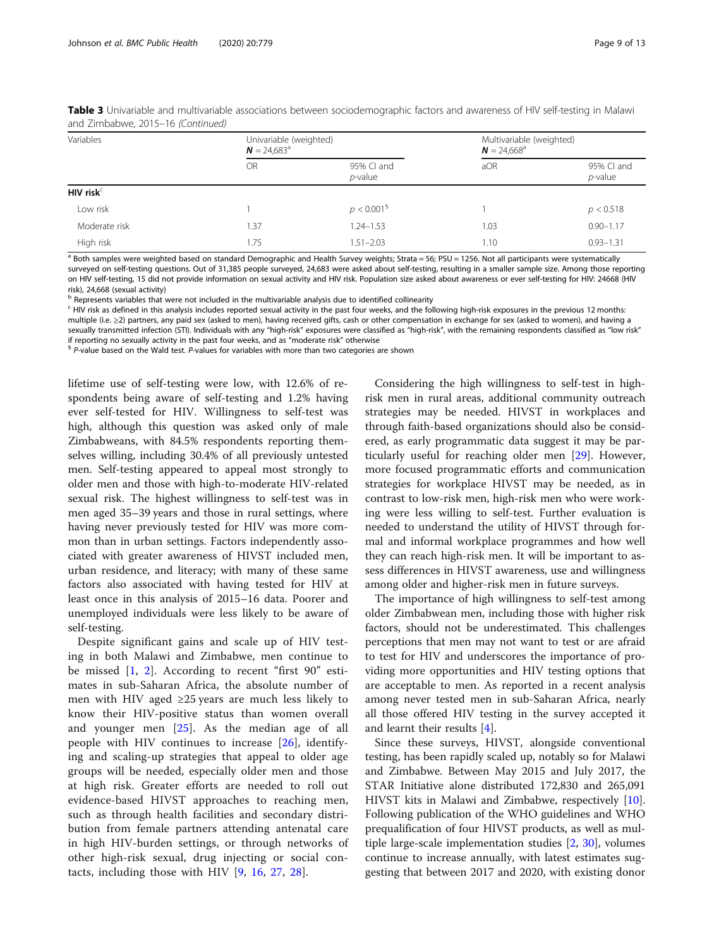| Variables      | Univariable (weighted)<br>$N = 24,683^{\circ}$ |                           | Multivariable (weighted)<br>$N = 24,668^{\circ}$ |                          |  |
|----------------|------------------------------------------------|---------------------------|--------------------------------------------------|--------------------------|--|
|                | OR                                             | 95% CI and<br>$p$ -value  | aOR                                              | 95% CI and<br>$p$ -value |  |
| $HIV$ risk $c$ |                                                |                           |                                                  |                          |  |
| Low risk       |                                                | $p < 0.001^{\frac{6}{5}}$ |                                                  | p < 0.518                |  |
| Moderate risk  | 1.37                                           | $1.24 - 1.53$             | 1.03                                             | $0.90 - 1.17$            |  |
| High risk      | 1.75                                           | $1.51 - 2.03$             | 1.10                                             | $0.93 - 1.31$            |  |

Table 3 Univariable and multivariable associations between sociodemographic factors and awareness of HIV self-testing in Malawi and Zimbabwe, 2015–16 (Continued)

<sup>a</sup> Both samples were weighted based on standard Demographic and Health Survey weights; Strata = 56; PSU = 1256. Not all participants were systematically surveyed on self-testing questions. Out of 31,385 people surveyed, 24,683 were asked about self-testing, resulting in a smaller sample size. Among those reporting on HIV self-testing, 15 did not provide information on sexual activity and HIV risk. Population size asked about awareness or ever self-testing for HIV: 24668 (HIV risk), 24,668 (sexual activity)

<sup>b</sup> Represents variables that were not included in the multivariable analysis due to identified collinearity

<sup>c</sup> HIV risk as defined in this analysis includes reported sexual activity in the past four weeks, and the following high-risk exposures in the previous 12 months: multiple (i.e. ≥2) partners, any paid sex (asked to men), having received gifts, cash or other compensation in exchange for sex (asked to women), and having a sexually transmitted infection (STI). Individuals with any "high-risk" exposures were classified as "lojh-risk", with the remaining respondents classified as "low risk"

if reporting no sexually activity in the past four weeks, and as "moderate risk" otherwise § P-value based on the Wald test. P-values for variables with more than two categories are shown

lifetime use of self-testing were low, with 12.6% of respondents being aware of self-testing and 1.2% having ever self-tested for HIV. Willingness to self-test was high, although this question was asked only of male Zimbabweans, with 84.5% respondents reporting themselves willing, including 30.4% of all previously untested men. Self-testing appeared to appeal most strongly to older men and those with high-to-moderate HIV-related sexual risk. The highest willingness to self-test was in men aged 35–39 years and those in rural settings, where having never previously tested for HIV was more common than in urban settings. Factors independently associated with greater awareness of HIVST included men, urban residence, and literacy; with many of these same factors also associated with having tested for HIV at least once in this analysis of 2015–16 data. Poorer and unemployed individuals were less likely to be aware of self-testing.

Despite significant gains and scale up of HIV testing in both Malawi and Zimbabwe, men continue to be missed [\[1](#page-11-0), [2](#page-12-0)]. According to recent "first 90" estimates in sub-Saharan Africa, the absolute number of men with HIV aged ≥25 years are much less likely to know their HIV-positive status than women overall and younger men [[25\]](#page-12-0). As the median age of all people with HIV continues to increase [\[26](#page-12-0)], identifying and scaling-up strategies that appeal to older age groups will be needed, especially older men and those at high risk. Greater efforts are needed to roll out evidence-based HIVST approaches to reaching men, such as through health facilities and secondary distribution from female partners attending antenatal care in high HIV-burden settings, or through networks of other high-risk sexual, drug injecting or social contacts, including those with HIV [\[9](#page-12-0), [16,](#page-12-0) [27,](#page-12-0) [28\]](#page-12-0).

Considering the high willingness to self-test in highrisk men in rural areas, additional community outreach strategies may be needed. HIVST in workplaces and through faith-based organizations should also be considered, as early programmatic data suggest it may be particularly useful for reaching older men [[29\]](#page-12-0). However, more focused programmatic efforts and communication strategies for workplace HIVST may be needed, as in contrast to low-risk men, high-risk men who were working were less willing to self-test. Further evaluation is needed to understand the utility of HIVST through formal and informal workplace programmes and how well they can reach high-risk men. It will be important to assess differences in HIVST awareness, use and willingness among older and higher-risk men in future surveys.

The importance of high willingness to self-test among older Zimbabwean men, including those with higher risk factors, should not be underestimated. This challenges perceptions that men may not want to test or are afraid to test for HIV and underscores the importance of providing more opportunities and HIV testing options that are acceptable to men. As reported in a recent analysis among never tested men in sub-Saharan Africa, nearly all those offered HIV testing in the survey accepted it and learnt their results [\[4](#page-12-0)].

Since these surveys, HIVST, alongside conventional testing, has been rapidly scaled up, notably so for Malawi and Zimbabwe. Between May 2015 and July 2017, the STAR Initiative alone distributed 172,830 and 265,091 HIVST kits in Malawi and Zimbabwe, respectively [\[10](#page-12-0)]. Following publication of the WHO guidelines and WHO prequalification of four HIVST products, as well as multiple large-scale implementation studies [[2](#page-12-0), [30\]](#page-12-0), volumes continue to increase annually, with latest estimates suggesting that between 2017 and 2020, with existing donor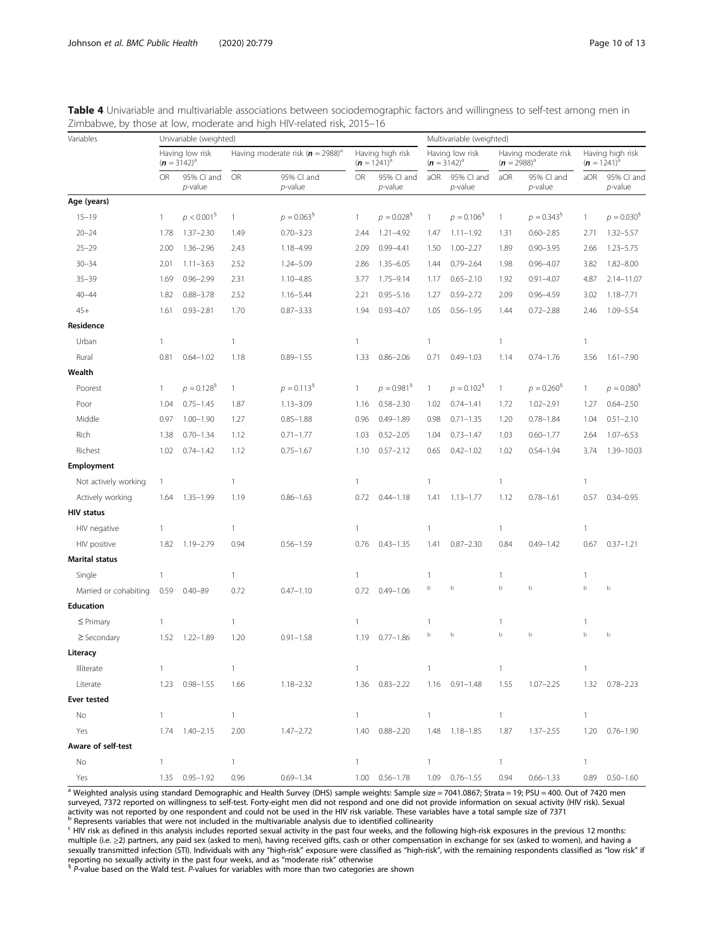| Variables             |                | Univariable (weighted)              |              |                                                  |                                    |                                        |                                   | Multivariable (weighted) |                                          |                          |                                    |                       |
|-----------------------|----------------|-------------------------------------|--------------|--------------------------------------------------|------------------------------------|----------------------------------------|-----------------------------------|--------------------------|------------------------------------------|--------------------------|------------------------------------|-----------------------|
|                       |                | Having low risk<br>$(n = 3142)^{a}$ |              | Having moderate risk ( $n = 2988$ ) <sup>a</sup> | Having high risk<br>$(n = 1241)^a$ |                                        | Having low risk<br>$(n = 3142)^a$ |                          | Having moderate risk<br>$(n = 2988)^{a}$ |                          | Having high risk<br>$(n = 1241)^a$ |                       |
|                       | OR             | 95% CI and<br>p-value               | OR           | 95% CI and<br>p-value                            | OR                                 | 95% CI and<br>p-value                  | aOR                               | 95% CI and<br>p-value    | aOR                                      | 95% CI and<br>$p$ -value | aOR                                | 95% CI and<br>p-value |
| Age (years)           |                |                                     |              |                                                  |                                    |                                        |                                   |                          |                                          |                          |                                    |                       |
| $15 - 19$             | 1              | $p < 0.001^5$                       | $\mathbf{1}$ | $p = 0.063^{\circ}$                              | 1                                  | $p = 0.028^9$                          | $\mathbf{1}$                      | $p = 0.106^9$            | $\mathbf{1}$                             | $p = 0.343^{\circ}$      | $\mathbf{1}$                       | $p = 0.030^9$         |
| $20 - 24$             | 1.78           | $1.37 - 2.30$                       | 1.49         | $0.70 - 3.23$                                    | 2.44                               | $1.21 - 4.92$                          | 1.47                              | $1.11 - 1.92$            | 1.31                                     | $0.60 - 2.85$            | 2.71                               | $1.32 - 5.57$         |
| $25 - 29$             | 2.00           | $1.36 - 2.96$                       | 2.43         | 1.18-4.99                                        | 2.09                               | $0.99 - 4.41$                          | 1.50                              | $1.00 - 2.27$            | 1.89                                     | $0.90 - 3.95$            | 2.66                               | $1.23 - 5.75$         |
| $30 - 34$             | 2.01           | $1.11 - 3.63$                       | 2.52         | 1.24-5.09                                        | 2.86                               | $1.35 - 6.05$                          | 1.44                              | $0.79 - 2.64$            | 1.98                                     | $0.96 - 4.07$            | 3.82                               | $1.82 - 8.00$         |
| $35 - 39$             | 1.69           | $0.96 - 2.99$                       | 2.31         | 1.10-4.85                                        | 3.77                               | $1.75 - 9.14$                          | 1.17                              | $0.65 - 2.10$            | 1.92                                     | $0.91 - 4.07$            | 4.87                               | 2.14-11.07            |
| $40 - 44$             | 1.82           | $0.88 - 3.78$                       | 2.52         | $1.16 - 5.44$                                    | 2.21                               | $0.95 - 5.16$                          | 1.27                              | $0.59 - 2.72$            | 2.09                                     | $0.96 - 4.59$            | 3.02                               | $1.18 - 7.71$         |
| $45+$                 | 1.61           | $0.93 - 2.81$                       | 1.70         | $0.87 - 3.33$                                    | 1.94                               | $0.93 - 4.07$                          | 1.05                              | $0.56 - 1.95$            | 1.44                                     | $0.72 - 2.88$            | 2.46                               | 1.09-5.54             |
| Residence             |                |                                     |              |                                                  |                                    |                                        |                                   |                          |                                          |                          |                                    |                       |
| Urban                 | 1              |                                     | $\mathbf{1}$ |                                                  | 1                                  |                                        | $\mathbf{1}$                      |                          | 1                                        |                          | $\mathbf{1}$                       |                       |
| Rural                 | 0.81           | $0.64 - 1.02$                       | 1.18         | $0.89 - 1.55$                                    | 1.33                               | $0.86 - 2.06$                          | 0.71                              | $0.49 - 1.03$            | 1.14                                     | $0.74 - 1.76$            | 3.56                               | $1.61 - 7.90$         |
| Wealth                |                |                                     |              |                                                  |                                    |                                        |                                   |                          |                                          |                          |                                    |                       |
| Poorest               | 1              | $p = 0.128^9$                       | $\mathbf{1}$ | $p = 0.113^9$                                    | 1                                  | $p = 0.981^9$                          | 1                                 | $p = 0.102^9$            | $\mathbf{1}$                             | $p = 0.260^9$            | $\mathbf{1}$                       | $p = 0.080^{\circ}$   |
| Poor                  | 1.04           | $0.75 - 1.45$                       | 1.87         | $1.13 - 3.09$                                    | 1.16                               | $0.58 - 2.30$                          | 1.02                              | $0.74 - 1.41$            | 1.72                                     | $1.02 - 2.91$            | 1.27                               | $0.64 - 2.50$         |
| Middle                | 0.97           | $1.00 - 1.90$                       | 1.27         | $0.85 - 1.88$                                    | 0.96                               | $0.49 - 1.89$                          | 0.98                              | $0.71 - 1.35$            | 1.20                                     | $0.78 - 1.84$            | 1.04                               | $0.51 - 2.10$         |
| Rich                  | 1.38           | $0.70 - 1.34$                       | 1.12         | $0.71 - 1.77$                                    | 1.03                               | $0.52 - 2.05$                          | 1.04                              | $0.73 - 1.47$            | 1.03                                     | $0.60 - 1.77$            | 2.64                               | $1.07 - 6.53$         |
| Richest               | 1.02           | $0.74 - 1.42$                       | 1.12         | $0.75 - 1.67$                                    | 1.10                               | $0.57 - 2.12$                          | 0.65                              | $0.42 - 1.02$            | 1.02                                     | $0.54 - 1.94$            | 3.74                               | 1.39-10.03            |
| <b>Employment</b>     |                |                                     |              |                                                  |                                    |                                        |                                   |                          |                                          |                          |                                    |                       |
| Not actively working  | 1              |                                     | $\mathbf{1}$ |                                                  | $\mathbf{1}$                       |                                        | $\mathbf{1}$                      |                          | $\mathbf{1}$                             |                          | $\mathbf{1}$                       |                       |
| Actively working      | 1.64           | $1.35 - 1.99$                       | 1.19         | $0.86 - 1.63$                                    | 0.72                               | $0.44 - 1.18$                          | 1.41                              | $1.13 - 1.77$            | 1.12                                     | $0.78 - 1.61$            | 0.57                               | $0.34 - 0.95$         |
| <b>HIV status</b>     |                |                                     |              |                                                  |                                    |                                        |                                   |                          |                                          |                          |                                    |                       |
| HIV negative          | 1              |                                     | $\mathbf{1}$ |                                                  | 1                                  |                                        | $\mathbf{1}$                      |                          | $\mathbf{1}$                             |                          | $\mathbf{1}$                       |                       |
| HIV positive          | 1.82           | 1.19-2.79                           | 0.94         | $0.56 - 1.59$                                    | 0.76                               | $0.43 - 1.35$                          | 1.41                              | $0.87 - 2.30$            | 0.84                                     | $0.49 - 1.42$            | 0.67                               | $0.37 - 1.21$         |
| <b>Marital status</b> |                |                                     |              |                                                  |                                    |                                        |                                   |                          |                                          |                          |                                    |                       |
| Single                | 1              |                                     | $\mathbf{1}$ |                                                  | 1                                  |                                        | 1                                 |                          | $\mathbf{1}$                             |                          | $\mathbf{1}$                       |                       |
| Married or cohabiting | 0.59           | $0.40 - 89$                         | 0.72         | $0.47 - 1.10$                                    | 0.72                               | $0.49 - 1.06$                          | b                                 | b                        | b                                        | $\mathbf b$              | $\mathsf b$                        | $^{\rm b}$            |
| <b>Education</b>      |                |                                     |              |                                                  |                                    |                                        |                                   |                          |                                          |                          |                                    |                       |
| $\leq$ Primary        | 1              |                                     | $\mathbf{1}$ |                                                  | 1                                  |                                        | 1                                 |                          | 1                                        |                          | -1                                 |                       |
| $\geq$ Secondary      | 1.52           | $1.22 - 1.89$                       | 1.20         | $0.91 - 1.58$                                    | 1.19                               | $0.77 - 1.86$                          | b                                 | b                        | $\mathsf b$                              | b                        | $\mathsf b$                        | $^{\rm b}$            |
| Literacy              |                |                                     |              |                                                  |                                    |                                        |                                   |                          |                                          |                          |                                    |                       |
| Illiterate            | $\overline{1}$ |                                     | $\mathbf{1}$ |                                                  | 1                                  |                                        |                                   |                          |                                          |                          |                                    |                       |
| Literate              |                | 1.23  0.98  1.55  1.66              |              | $1.18 - 2.32$                                    |                                    | 1.36  0.83-2.22  1.16  0.91-1.48  1.55 |                                   |                          |                                          | 1.07-2.25 1.32 0.78-2.23 |                                    |                       |
| <b>Ever tested</b>    |                |                                     |              |                                                  |                                    |                                        |                                   |                          |                                          |                          |                                    |                       |
| No                    | $\mathbf{1}$   |                                     | $\mathbf{1}$ |                                                  | $\mathbf{1}$                       |                                        | $\mathbf{1}$                      |                          | $\mathbf{1}$                             |                          | $\mathbf{1}$                       |                       |
| Yes                   |                | 1.74  1.40 - 2.15                   | 2.00         | $1.47 - 2.72$                                    |                                    | 1.40  0.88-2.20                        |                                   | 1.48 1.18-1.85           | 1.87                                     | $1.37 - 2.55$            |                                    | 1.20  0.76-1.90       |
| Aware of self-test    |                |                                     |              |                                                  |                                    |                                        |                                   |                          |                                          |                          |                                    |                       |
| No                    | $\mathbf{1}$   |                                     | $\mathbf{1}$ |                                                  | $\mathbf{1}$                       |                                        | $\mathbf{1}$                      |                          | $\mathbf{1}$                             |                          | $\mathbf{1}$                       |                       |
| Yes                   |                | 1.35 0.95-1.92                      | 0.96         | $0.69 - 1.34$                                    |                                    | 1.00  0.56-1.78  1.09  0.76-1.55       |                                   |                          | 0.94                                     | $0.66 - 1.33$            |                                    | $0.89$ $0.50 - 1.60$  |

<span id="page-9-0"></span>Table 4 Univariable and multivariable associations between sociodemographic factors and willingness to self-test among men in Zimbabwe, by those at low, moderate and high HIV-related risk, 2015–16

 $a$  Weighted analysis using standard Demographic and Health Survey (DHS) sample weights: Sample size = 7041.0867; Strata = 19; PSU = 400. Out of 7420 men surveyed, 7372 reported on willingness to self-test. Forty-eight men did not respond and one did not provide information on sexual activity (HIV risk). Sexual activity was not reported by one respondent and could not be used in the HIV risk variable. These variables have a total sample size of 7371<br>b Represents variables that were not included in the multivariable analysis due t

FilV risk as defined in this analysis includes reported sexual activity in the past four weeks, and the following high-risk exposures in the previous 12 months: multiple (i.e. ≥2) partners, any paid sex (asked to men), having received gifts, cash or other compensation in exchange for sex (asked to women), and having a<br>sexually transmitted infection (STI). Individuals with any "hi reporting no sexually activity in the past four weeks, and as "moderate risk" otherwise<br>Specific produce based on the Wald test. P-values for variables with more than two categories are shown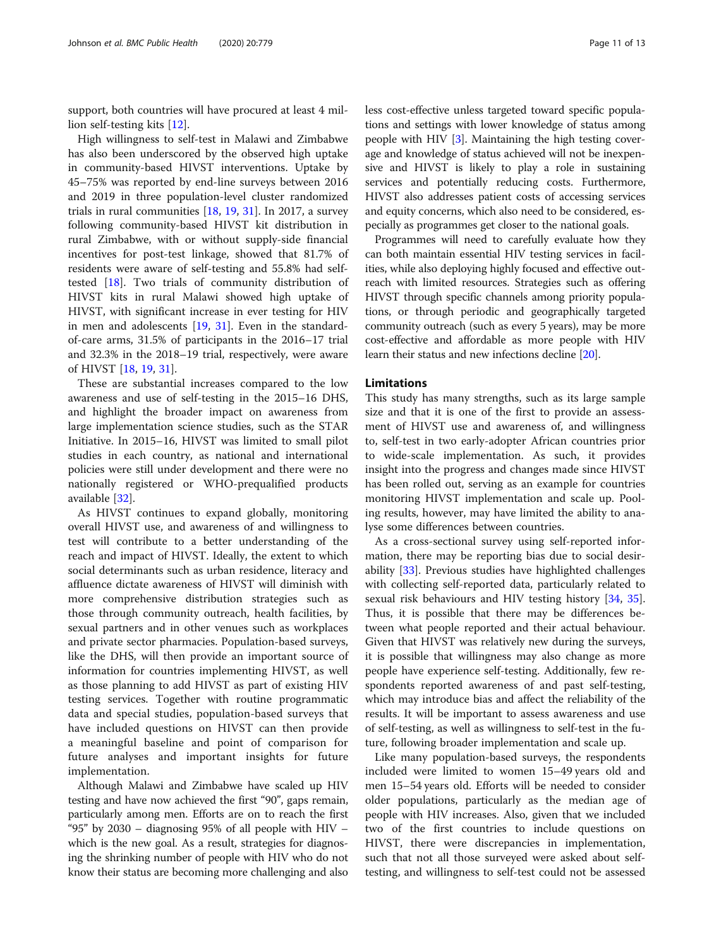support, both countries will have procured at least 4 million self-testing kits [\[12\]](#page-12-0).

High willingness to self-test in Malawi and Zimbabwe has also been underscored by the observed high uptake in community-based HIVST interventions. Uptake by 45–75% was reported by end-line surveys between 2016 and 2019 in three population-level cluster randomized trials in rural communities [[18](#page-12-0), [19](#page-12-0), [31](#page-12-0)]. In 2017, a survey following community-based HIVST kit distribution in rural Zimbabwe, with or without supply-side financial incentives for post-test linkage, showed that 81.7% of residents were aware of self-testing and 55.8% had selftested [\[18\]](#page-12-0). Two trials of community distribution of HIVST kits in rural Malawi showed high uptake of HIVST, with significant increase in ever testing for HIV in men and adolescents [[19](#page-12-0), [31\]](#page-12-0). Even in the standardof-care arms, 31.5% of participants in the 2016–17 trial and 32.3% in the 2018–19 trial, respectively, were aware of HIVST [[18,](#page-12-0) [19,](#page-12-0) [31](#page-12-0)].

These are substantial increases compared to the low awareness and use of self-testing in the 2015–16 DHS, and highlight the broader impact on awareness from large implementation science studies, such as the STAR Initiative. In 2015–16, HIVST was limited to small pilot studies in each country, as national and international policies were still under development and there were no nationally registered or WHO-prequalified products available [[32](#page-12-0)].

As HIVST continues to expand globally, monitoring overall HIVST use, and awareness of and willingness to test will contribute to a better understanding of the reach and impact of HIVST. Ideally, the extent to which social determinants such as urban residence, literacy and affluence dictate awareness of HIVST will diminish with more comprehensive distribution strategies such as those through community outreach, health facilities, by sexual partners and in other venues such as workplaces and private sector pharmacies. Population-based surveys, like the DHS, will then provide an important source of information for countries implementing HIVST, as well as those planning to add HIVST as part of existing HIV testing services. Together with routine programmatic data and special studies, population-based surveys that have included questions on HIVST can then provide a meaningful baseline and point of comparison for future analyses and important insights for future implementation.

Although Malawi and Zimbabwe have scaled up HIV testing and have now achieved the first "90", gaps remain, particularly among men. Efforts are on to reach the first "95" by 2030 – diagnosing 95% of all people with  $HIV$  – which is the new goal. As a result, strategies for diagnosing the shrinking number of people with HIV who do not know their status are becoming more challenging and also less cost-effective unless targeted toward specific populations and settings with lower knowledge of status among people with HIV [[3\]](#page-12-0). Maintaining the high testing coverage and knowledge of status achieved will not be inexpensive and HIVST is likely to play a role in sustaining services and potentially reducing costs. Furthermore, HIVST also addresses patient costs of accessing services and equity concerns, which also need to be considered, especially as programmes get closer to the national goals.

Programmes will need to carefully evaluate how they can both maintain essential HIV testing services in facilities, while also deploying highly focused and effective outreach with limited resources. Strategies such as offering HIVST through specific channels among priority populations, or through periodic and geographically targeted community outreach (such as every 5 years), may be more cost-effective and affordable as more people with HIV learn their status and new infections decline [\[20\]](#page-12-0).

## Limitations

This study has many strengths, such as its large sample size and that it is one of the first to provide an assessment of HIVST use and awareness of, and willingness to, self-test in two early-adopter African countries prior to wide-scale implementation. As such, it provides insight into the progress and changes made since HIVST has been rolled out, serving as an example for countries monitoring HIVST implementation and scale up. Pooling results, however, may have limited the ability to analyse some differences between countries.

As a cross-sectional survey using self-reported information, there may be reporting bias due to social desirability [\[33\]](#page-12-0). Previous studies have highlighted challenges with collecting self-reported data, particularly related to sexual risk behaviours and HIV testing history [[34](#page-12-0), [35](#page-12-0)]. Thus, it is possible that there may be differences between what people reported and their actual behaviour. Given that HIVST was relatively new during the surveys, it is possible that willingness may also change as more people have experience self-testing. Additionally, few respondents reported awareness of and past self-testing, which may introduce bias and affect the reliability of the results. It will be important to assess awareness and use of self-testing, as well as willingness to self-test in the future, following broader implementation and scale up.

Like many population-based surveys, the respondents included were limited to women 15–49 years old and men 15–54 years old. Efforts will be needed to consider older populations, particularly as the median age of people with HIV increases. Also, given that we included two of the first countries to include questions on HIVST, there were discrepancies in implementation, such that not all those surveyed were asked about selftesting, and willingness to self-test could not be assessed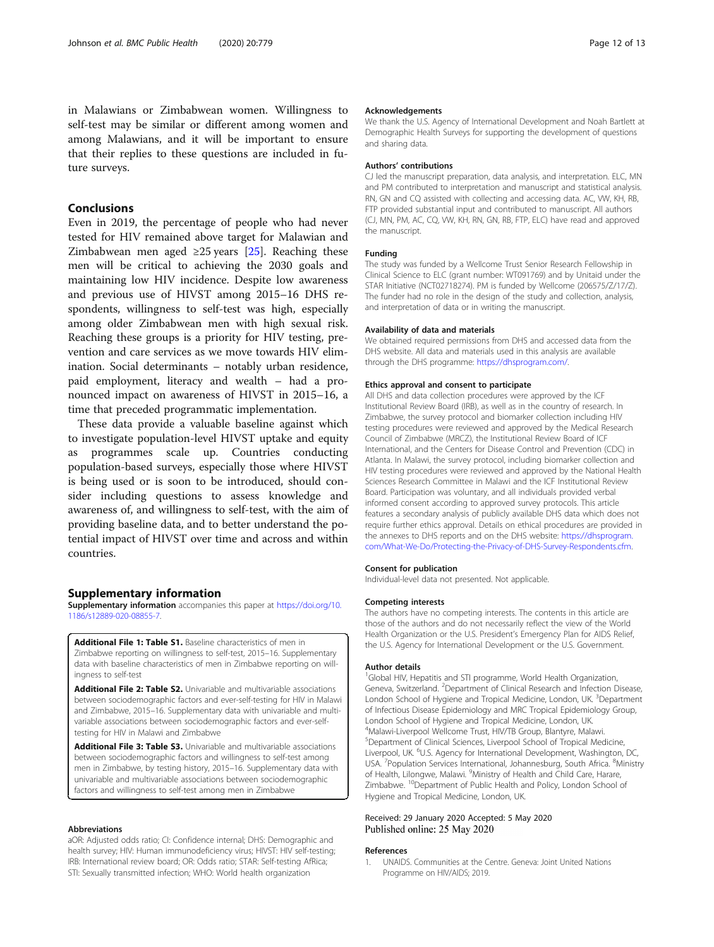## <span id="page-11-0"></span>Conclusions

Even in 2019, the percentage of people who had never tested for HIV remained above target for Malawian and Zimbabwean men aged ≥25 years [\[25\]](#page-12-0). Reaching these men will be critical to achieving the 2030 goals and maintaining low HIV incidence. Despite low awareness and previous use of HIVST among 2015–16 DHS respondents, willingness to self-test was high, especially among older Zimbabwean men with high sexual risk. Reaching these groups is a priority for HIV testing, prevention and care services as we move towards HIV elimination. Social determinants – notably urban residence, paid employment, literacy and wealth – had a pronounced impact on awareness of HIVST in 2015–16, a time that preceded programmatic implementation.

These data provide a valuable baseline against which to investigate population-level HIVST uptake and equity as programmes scale up. Countries conducting population-based surveys, especially those where HIVST is being used or is soon to be introduced, should consider including questions to assess knowledge and awareness of, and willingness to self-test, with the aim of providing baseline data, and to better understand the potential impact of HIVST over time and across and within countries.

## Supplementary information

Supplementary information accompanies this paper at [https://doi.org/10.](https://doi.org/10.1186/s12889-020-08855-7) [1186/s12889-020-08855-7](https://doi.org/10.1186/s12889-020-08855-7).

Additional File 1: Table S1. Baseline characteristics of men in Zimbabwe reporting on willingness to self-test, 2015–16. Supplementary data with baseline characteristics of men in Zimbabwe reporting on willingness to self-test

Additional File 2: Table S2. Univariable and multivariable associations between sociodemographic factors and ever-self-testing for HIV in Malawi and Zimbabwe, 2015–16. Supplementary data with univariable and multivariable associations between sociodemographic factors and ever-selftesting for HIV in Malawi and Zimbabwe

Additional File 3: Table S3. Univariable and multivariable associations between sociodemographic factors and willingness to self-test among men in Zimbabwe, by testing history, 2015–16. Supplementary data with univariable and multivariable associations between sociodemographic factors and willingness to self-test among men in Zimbabwe

#### Abbreviations

aOR: Adjusted odds ratio; CI: Confidence internal; DHS: Demographic and health survey; HIV: Human immunodeficiency virus; HIVST: HIV self-testing; IRB: International review board; OR: Odds ratio; STAR: Self-testing AfRica; STI: Sexually transmitted infection; WHO: World health organization

#### Acknowledgements

We thank the U.S. Agency of International Development and Noah Bartlett at Demographic Health Surveys for supporting the development of questions and sharing data.

#### Authors' contributions

CJ led the manuscript preparation, data analysis, and interpretation. ELC, MN and PM contributed to interpretation and manuscript and statistical analysis. RN, GN and CQ assisted with collecting and accessing data. AC, VW, KH, RB, FTP provided substantial input and contributed to manuscript. All authors (CJ, MN, PM, AC, CQ, VW, KH, RN, GN, RB, FTP, ELC) have read and approved the manuscript.

#### Funding

The study was funded by a Wellcome Trust Senior Research Fellowship in Clinical Science to ELC (grant number: WT091769) and by Unitaid under the STAR Initiative (NCT02718274). PM is funded by Wellcome (206575/Z/17/Z). The funder had no role in the design of the study and collection, analysis, and interpretation of data or in writing the manuscript.

#### Availability of data and materials

We obtained required permissions from DHS and accessed data from the DHS website. All data and materials used in this analysis are available through the DHS programme: [https://dhsprogram.com/.](https://dhsprogram.com/)

#### Ethics approval and consent to participate

All DHS and data collection procedures were approved by the ICF Institutional Review Board (IRB), as well as in the country of research. In Zimbabwe, the survey protocol and biomarker collection including HIV testing procedures were reviewed and approved by the Medical Research Council of Zimbabwe (MRCZ), the Institutional Review Board of ICF International, and the Centers for Disease Control and Prevention (CDC) in Atlanta. In Malawi, the survey protocol, including biomarker collection and HIV testing procedures were reviewed and approved by the National Health Sciences Research Committee in Malawi and the ICF Institutional Review Board. Participation was voluntary, and all individuals provided verbal informed consent according to approved survey protocols. This article features a secondary analysis of publicly available DHS data which does not require further ethics approval. Details on ethical procedures are provided in the annexes to DHS reports and on the DHS website: [https://dhsprogram.](https://dhsprogram.com/What-We-Do/Protecting-the-Privacy-of-DHS-Survey-Respondents.cfm) [com/What-We-Do/Protecting-the-Privacy-of-DHS-Survey-Respondents.cfm.](https://dhsprogram.com/What-We-Do/Protecting-the-Privacy-of-DHS-Survey-Respondents.cfm)

#### Consent for publication

Individual-level data not presented. Not applicable.

#### Competing interests

The authors have no competing interests. The contents in this article are those of the authors and do not necessarily reflect the view of the World Health Organization or the U.S. President's Emergency Plan for AIDS Relief, the U.S. Agency for International Development or the U.S. Government.

#### Author details

<sup>1</sup>Global HIV, Hepatitis and STI programme, World Health Organization Geneva, Switzerland. <sup>2</sup>Department of Clinical Research and Infection Disease, London School of Hygiene and Tropical Medicine, London, UK. <sup>3</sup>Department of Infectious Disease Epidemiology and MRC Tropical Epidemiology Group, London School of Hygiene and Tropical Medicine, London, UK. 4 Malawi-Liverpool Wellcome Trust, HIV/TB Group, Blantyre, Malawi. 5 Department of Clinical Sciences, Liverpool School of Tropical Medicine, Liverpool, UK. <sup>6</sup>U.S. Agency for International Development, Washington, DC USA. <sup>7</sup>Population Services International, Johannesburg, South Africa. <sup>8</sup>Ministry of Health, Lilongwe, Malawi. <sup>9</sup> Ministry of Health and Child Care, Harare, Zimbabwe. <sup>10</sup>Department of Public Health and Policy, London School of Hygiene and Tropical Medicine, London, UK.

## Received: 29 January 2020 Accepted: 5 May 2020 Published online: 25 May 2020

#### References

1. UNAIDS. Communities at the Centre. Geneva: Joint United Nations Programme on HIV/AIDS; 2019.